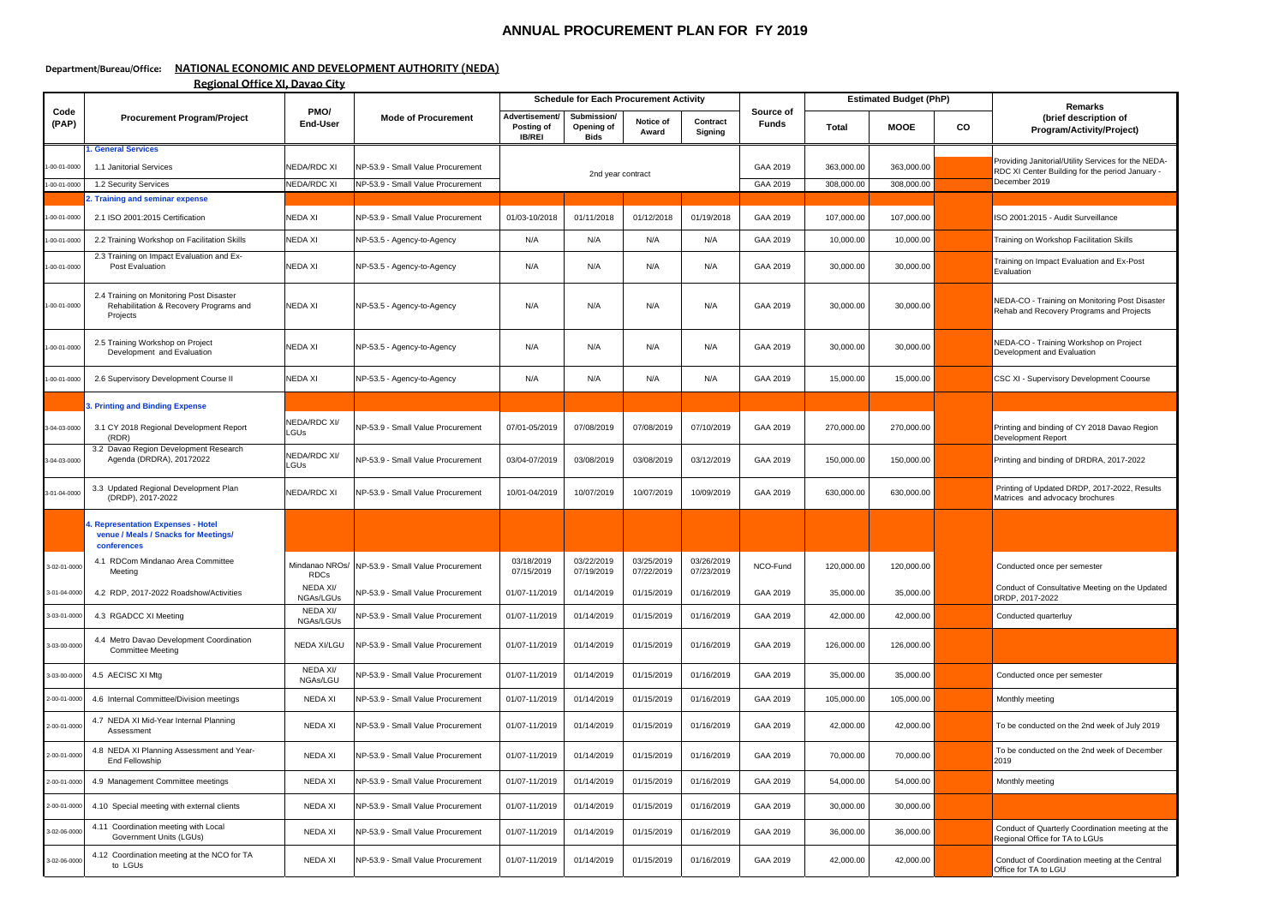## **ANNUAL PROCUREMENT PLAN FOR FY 2019**

## **Department/Bureau/Office: NATIONAL ECONOMIC AND DEVELOPMENT AUTHORITY (NEDA)**

**Regional Office XI, Davao City**

|               | <b>Procurement Program/Project</b>                                                               | PMO/<br><b>End-User</b>       | <b>Mode of Procurement</b>        | <b>Schedule for Each Procurement Activity</b> |                                          |                          |                          |                           | <b>Estimated Budget (PhP)</b> |             |    | <b>Remarks</b>                                                                                         |
|---------------|--------------------------------------------------------------------------------------------------|-------------------------------|-----------------------------------|-----------------------------------------------|------------------------------------------|--------------------------|--------------------------|---------------------------|-------------------------------|-------------|----|--------------------------------------------------------------------------------------------------------|
| Code<br>(PAP) |                                                                                                  |                               |                                   | Advertisement<br>Posting of<br><b>IB/REI</b>  | Submission/<br>Opening of<br><b>Bids</b> | Notice of<br>Award       | Contract<br>Signing      | Source of<br><b>Funds</b> | <b>Total</b>                  | <b>MOOE</b> | co | (brief description of<br>Program/Activity/Project)                                                     |
| $-00-01-0000$ | <b>. General Services</b><br>1.1 Janitorial Services                                             | <b>NEDA/RDC XI</b>            | NP-53.9 - Small Value Procurement |                                               |                                          |                          |                          | GAA 2019                  | 363,000.00                    | 363,000.00  |    | Providing Janitorial/Utility Services for the NEDA-<br>RDC XI Center Building for the period January - |
| $-00-01-0000$ | 1.2 Security Services                                                                            | <b>NEDA/RDC XI</b>            | NP-53.9 - Small Value Procurement |                                               | 2nd year contract                        |                          |                          | GAA 2019                  | 308,000.00                    | 308,000.00  |    | December 2019                                                                                          |
|               | 2. Training and seminar expense                                                                  |                               |                                   |                                               |                                          |                          |                          |                           |                               |             |    |                                                                                                        |
| $-00-01-0000$ | 2.1 ISO 2001:2015 Certification                                                                  | NEDA XI                       | NP-53.9 - Small Value Procurement | 01/03-10/2018                                 | 01/11/2018                               | 01/12/2018               | 01/19/2018               | GAA 2019                  | 107,000.00                    | 107,000.00  |    | ISO 2001:2015 - Audit Surveillance                                                                     |
| $-00-01-0000$ | 2.2 Training Workshop on Facilitation Skills                                                     | NEDA XI                       | NP-53.5 - Agency-to-Agency        | N/A                                           | N/A                                      | N/A                      | N/A                      | GAA 2019                  | 10,000.00                     | 10,000.00   |    | Training on Workshop Facilitation Skills                                                               |
| $-00-01-0000$ | 2.3 Training on Impact Evaluation and Ex-<br>Post Evaluation                                     | NEDA XI                       | NP-53.5 - Agency-to-Agency        | N/A                                           | N/A                                      | N/A                      | N/A                      | GAA 2019                  | 30,000.00                     | 30,000.00   |    | Training on Impact Evaluation and Ex-Post<br>Evaluation                                                |
| -00-01-0000   | 2.4 Training on Monitoring Post Disaster<br>Rehabilitation & Recovery Programs and<br>Projects   | NEDA XI                       | NP-53.5 - Agency-to-Agency        | N/A                                           | N/A                                      | N/A                      | N/A                      | GAA 2019                  | 30,000.00                     | 30,000.00   |    | NEDA-CO - Training on Monitoring Post Disaster<br>Rehab and Recovery Programs and Projects             |
| -00-01-0000   | 2.5 Training Workshop on Project<br>Development and Evaluation                                   | <b>NEDA XI</b>                | NP-53.5 - Agency-to-Agency        | N/A                                           | N/A                                      | N/A                      | N/A                      | GAA 2019                  | 30,000.00                     | 30,000.00   |    | NEDA-CO - Training Workshop on Project<br>Development and Evaluation                                   |
| $-00-01-0000$ | 2.6 Supervisory Development Course II                                                            | NEDA XI                       | NP-53.5 - Agency-to-Agency        | N/A                                           | N/A                                      | N/A                      | N/A                      | GAA 2019                  | 15,000.00                     | 15,000.00   |    | CSC XI - Supervisory Development Coourse                                                               |
|               | <b>3. Printing and Binding Expense</b>                                                           |                               |                                   |                                               |                                          |                          |                          |                           |                               |             |    |                                                                                                        |
| 3-04-03-0000  | 3.1 CY 2018 Regional Development Report<br>(RDR)                                                 | NEDA/RDC XI/<br>LGUs          | NP-53.9 - Small Value Procurement | 07/01-05/2019                                 | 07/08/2019                               | 07/08/2019               | 07/10/2019               | GAA 2019                  | 270,000.00                    | 270,000.00  |    | Printing and binding of CY 2018 Davao Region<br>Development Report                                     |
| 3-04-03-0000  | 3.2 Davao Region Development Research<br>Agenda (DRDRA), 20172022                                | NEDA/RDC XI/<br>LGUs          | NP-53.9 - Small Value Procurement | 03/04-07/2019                                 | 03/08/2019                               | 03/08/2019               | 03/12/2019               | GAA 2019                  | 150,000.00                    | 150,000.00  |    | Printing and binding of DRDRA, 2017-2022                                                               |
| 3-01-04-0000  | 3.3 Updated Regional Development Plan<br>(DRDP), 2017-2022                                       | NEDA/RDC XI                   | NP-53.9 - Small Value Procurement | 10/01-04/2019                                 | 10/07/2019                               | 10/07/2019               | 10/09/2019               | GAA 2019                  | 630,000.00                    | 630,000.00  |    | Printing of Updated DRDP, 2017-2022, Results<br>Matrices and advocacy brochures                        |
|               | 4. Representation Expenses - Hotel<br>venue / Meals / Snacks for Meetings/<br><b>conferences</b> |                               |                                   |                                               |                                          |                          |                          |                           |                               |             |    |                                                                                                        |
| 3-02-01-0000  | 4.1 RDCom Mindanao Area Committee<br>Meeting                                                     | Mindanao NROs/<br><b>RDCs</b> | NP-53.9 - Small Value Procurement | 03/18/2019<br>07/15/2019                      | 03/22/2019<br>07/19/2019                 | 03/25/2019<br>07/22/2019 | 03/26/2019<br>07/23/2019 | NCO-Fund                  | 120,000.00                    | 120,000.00  |    | Conducted once per semester                                                                            |
| 3-01-04-000   | 4.2 RDP, 2017-2022 Roadshow/Activities                                                           | NEDA XI/<br>NGAs/LGUs         | NP-53.9 - Small Value Procurement | 01/07-11/2019                                 | 01/14/2019                               | 01/15/2019               | 01/16/2019               | GAA 2019                  | 35,000.00                     | 35,000.00   |    | Conduct of Consultative Meeting on the Updated<br>DRDP, 2017-2022                                      |
| 3-03-01-0000  | 4.3 RGADCC XI Meeting                                                                            | NEDA XI/<br>NGAs/LGUs         | NP-53.9 - Small Value Procurement | 01/07-11/2019                                 | 01/14/2019                               | 01/15/2019               | 01/16/2019               | GAA 2019                  | 42,000.00                     | 42,000.00   |    | Conducted quarterluy                                                                                   |
| 3-03-00-0000  | 4.4 Metro Davao Development Coordination<br><b>Committee Meeting</b>                             | <b>NEDA XI/LGU</b>            | NP-53.9 - Small Value Procurement | 01/07-11/2019                                 | 01/14/2019                               | 01/15/2019               | 01/16/2019               | GAA 2019                  | 126,000.00                    | 126,000.00  |    |                                                                                                        |
| 3-03-00-0000  | 4.5 AECISC XI Mtg                                                                                | NEDA XI/<br>NGAs/LGU          | NP-53.9 - Small Value Procurement | 01/07-11/2019                                 | 01/14/2019                               | 01/15/2019               | 01/16/2019               | GAA 2019                  | 35,000.00                     | 35,000.00   |    | Conducted once per semester                                                                            |
| 2-00-01-0000  | 4.6 Internal Committee/Division meetings                                                         | NEDA XI                       | NP-53.9 - Small Value Procurement | 01/07-11/2019                                 | 01/14/2019                               | 01/15/2019               | 01/16/2019               | GAA 2019                  | 105,000.00                    | 105,000.00  |    | Monthly meeting                                                                                        |
| 2-00-01-0000  | 4.7 NEDA XI Mid-Year Internal Planning<br>Assessment                                             | <b>NEDA XI</b>                | NP-53.9 - Small Value Procurement | 01/07-11/2019                                 | 01/14/2019                               | 01/15/2019               | 01/16/2019               | GAA 2019                  | 42,000.00                     | 42,000.00   |    | To be conducted on the 2nd week of July 2019                                                           |
| 2-00-01-0000  | 4.8 NEDA XI Planning Assessment and Year-<br>End Fellowship                                      | <b>NEDA XI</b>                | NP-53.9 - Small Value Procurement | 01/07-11/2019                                 | 01/14/2019                               | 01/15/2019               | 01/16/2019               | GAA 2019                  | 70,000.00                     | 70,000.00   |    | To be conducted on the 2nd week of December<br>2019                                                    |
| 2-00-01-0000  | 4.9 Management Committee meetings                                                                | NEDA XI                       | NP-53.9 - Small Value Procurement | 01/07-11/2019                                 | 01/14/2019                               | 01/15/2019               | 01/16/2019               | GAA 2019                  | 54,000.00                     | 54,000.00   |    | Monthly meeting                                                                                        |
| 2-00-01-0000  | 4.10 Special meeting with external clients                                                       | NEDA XI                       | NP-53.9 - Small Value Procurement | 01/07-11/2019                                 | 01/14/2019                               | 01/15/2019               | 01/16/2019               | GAA 2019                  | 30,000.00                     | 30,000.00   |    |                                                                                                        |
| 3-02-06-0000  | 4.11 Coordination meeting with Local<br>Government Units (LGUs)                                  | <b>NEDA XI</b>                | NP-53.9 - Small Value Procurement | 01/07-11/2019                                 | 01/14/2019                               | 01/15/2019               | 01/16/2019               | GAA 2019                  | 36,000.00                     | 36,000.00   |    | Conduct of Quarterly Coordination meeting at the<br>Regional Office for TA to LGUs                     |
| 3-02-06-0000  | 4.12 Coordination meeting at the NCO for TA<br>to LGUs                                           | NEDA XI                       | NP-53.9 - Small Value Procurement | 01/07-11/2019                                 | 01/14/2019                               | 01/15/2019               | 01/16/2019               | GAA 2019                  | 42,000.00                     | 42,000.00   |    | Conduct of Coordination meeting at the Central<br>Office for TA to LGU                                 |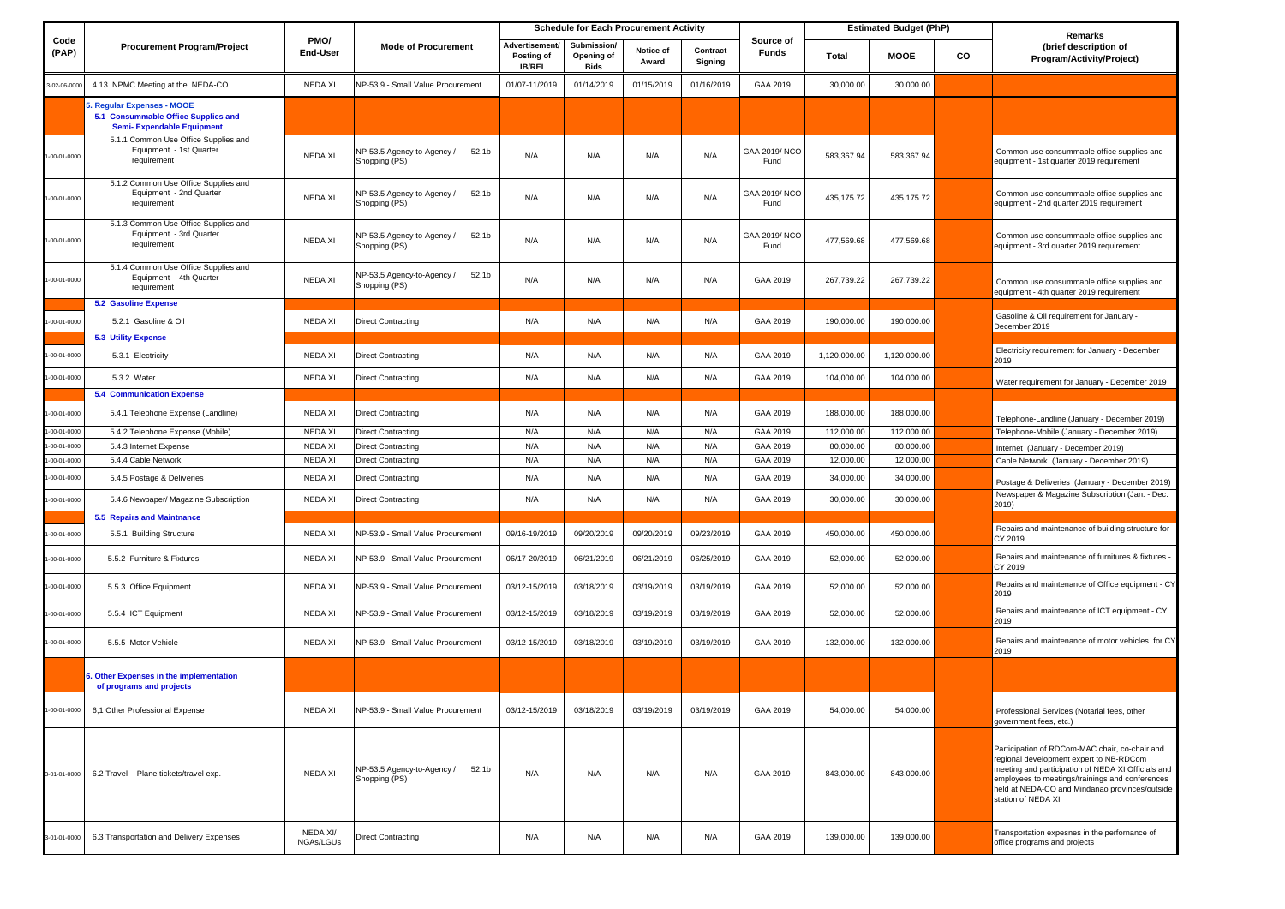|                   |                                                                                                        | <b>Schedule for Each Procurement Activity</b> |                                                      |                                              | <b>Estimated Budget (PhP)</b>            |                    |                     |                           |              |              |               |                                                                                                                                                                                                                                                                            |
|-------------------|--------------------------------------------------------------------------------------------------------|-----------------------------------------------|------------------------------------------------------|----------------------------------------------|------------------------------------------|--------------------|---------------------|---------------------------|--------------|--------------|---------------|----------------------------------------------------------------------------------------------------------------------------------------------------------------------------------------------------------------------------------------------------------------------------|
| Code<br>(PAP)     | <b>Procurement Program/Project</b>                                                                     | PMO/<br><b>End-User</b>                       | <b>Mode of Procurement</b>                           | Advertisement<br>Posting of<br><b>IB/REI</b> | Submission/<br>Opening of<br><b>Bids</b> | Notice of<br>Award | Contract<br>Signing | Source of<br><b>Funds</b> | <b>Total</b> | <b>MOOE</b>  | $\mathsf{co}$ | <b>Remarks</b><br>(brief description of<br><b>Program/Activity/Project)</b>                                                                                                                                                                                                |
| 3-02-06-0000      | 4.13 NPMC Meeting at the NEDA-CO                                                                       | <b>NEDA XI</b>                                | NP-53.9 - Small Value Procurement                    | 01/07-11/2019                                | 01/14/2019                               | 01/15/2019         | 01/16/2019          | GAA 2019                  | 30,000.00    | 30,000.00    |               |                                                                                                                                                                                                                                                                            |
|                   | 5. Regular Expenses - MOOE<br>5.1 Consummable Office Supplies and<br><b>Semi- Expendable Equipment</b> |                                               |                                                      |                                              |                                          |                    |                     |                           |              |              |               |                                                                                                                                                                                                                                                                            |
| 1-00-01-0000      | 5.1.1 Common Use Office Supplies and<br>Equipment - 1st Quarter<br>requirement                         | <b>NEDA XI</b>                                | NP-53.5 Agency-to-Agency /<br>52.1b<br>Shopping (PS) | N/A                                          | N/A                                      | N/A                | N/A                 | GAA 2019/NCO<br>Fund      | 583,367.94   | 583,367.94   |               | Common use consummable office supplies and<br>equipment - 1st quarter 2019 requirement                                                                                                                                                                                     |
| $-00-01-0000$     | 5.1.2 Common Use Office Supplies and<br>Equipment - 2nd Quarter<br>requirement                         | <b>NEDA XI</b>                                | NP-53.5 Agency-to-Agency /<br>52.1b<br>Shopping (PS) | N/A                                          | N/A                                      | N/A                | N/A                 | GAA 2019/NCO<br>Fund      | 435,175.72   | 435,175.72   |               | Common use consummable office supplies and<br>equipment - 2nd quarter 2019 requirement                                                                                                                                                                                     |
| 1-00-01-0000      | 5.1.3 Common Use Office Supplies and<br>Equipment - 3rd Quarter<br>requirement                         | <b>NEDA XI</b>                                | NP-53.5 Agency-to-Agency /<br>52.1b<br>Shopping (PS) | N/A                                          | N/A                                      | N/A                | N/A                 | GAA 2019/NCO<br>Fund      | 477,569.68   | 477,569.68   |               | Common use consummable office supplies and<br>equipment - 3rd quarter 2019 requirement                                                                                                                                                                                     |
| $-00-01-0000$     | 5.1.4 Common Use Office Supplies and<br>Equipment - 4th Quarter<br>requirement                         | <b>NEDA XI</b>                                | NP-53.5 Agency-to-Agency /<br>52.1b<br>Shopping (PS) | N/A                                          | N/A                                      | N/A                | N/A                 | GAA 2019                  | 267,739.22   | 267,739.22   |               | Common use consummable office supplies and<br>equipment - 4th quarter 2019 requirement                                                                                                                                                                                     |
|                   | <b>5.2 Gasoline Expense</b>                                                                            |                                               |                                                      |                                              |                                          |                    |                     |                           |              |              |               |                                                                                                                                                                                                                                                                            |
| 1-00-01-0000      | 5.2.1 Gasoline & Oil<br><b>5.3 Utility Expense</b>                                                     | <b>NEDA XI</b>                                | <b>Direct Contracting</b>                            | N/A                                          | N/A                                      | N/A                | N/A                 | GAA 2019                  | 190,000.00   | 190,000.00   |               | Gasoline & Oil requirement for January -<br>December 2019                                                                                                                                                                                                                  |
| $-00 - 01 - 0000$ | 5.3.1 Electricity                                                                                      | NEDA XI                                       | <b>Direct Contracting</b>                            | N/A                                          | N/A                                      | N/A                | N/A                 | GAA 2019                  | 1,120,000.00 | 1,120,000.00 |               | Electricity requirement for January - December<br>2019                                                                                                                                                                                                                     |
| $-00-01-0000$     | 5.3.2 Water                                                                                            | NEDA XI                                       | <b>Direct Contracting</b>                            | N/A                                          | N/A                                      | N/A                | N/A                 | GAA 2019                  | 104,000.00   | 104,000.00   |               | Water requirement for January - December 2019                                                                                                                                                                                                                              |
|                   | <b>5.4 Communication Expense</b>                                                                       |                                               |                                                      |                                              |                                          |                    |                     |                           |              |              |               |                                                                                                                                                                                                                                                                            |
| $-00 - 01 - 0000$ | 5.4.1 Telephone Expense (Landline)                                                                     | <b>NEDA XI</b>                                | <b>Direct Contracting</b>                            | N/A                                          | N/A                                      | N/A                | N/A                 | GAA 2019                  | 188,000.00   | 188,000.00   |               | Telephone-Landline (January - December 2019)                                                                                                                                                                                                                               |
| $-00 - 01 - 0000$ | 5.4.2 Telephone Expense (Mobile)                                                                       | <b>NEDA XI</b>                                | <b>Direct Contracting</b>                            | N/A                                          | N/A                                      | N/A                | N/A                 | GAA 2019                  | 112,000.00   | 112,000.00   |               | Telephone-Mobile (January - December 2019)                                                                                                                                                                                                                                 |
| 1-00-01-0000      | 5.4.3 Internet Expense                                                                                 | <b>NEDA XI</b>                                | <b>Direct Contracting</b>                            | N/A                                          | N/A                                      | N/A                | N/A                 | GAA 2019                  | 80,000.00    | 80,000.00    |               | Internet (January - December 2019)                                                                                                                                                                                                                                         |
| 1-00-01-0000      | 5.4.4 Cable Network                                                                                    | <b>NEDA XI</b>                                | <b>Direct Contracting</b>                            | N/A                                          | N/A                                      | N/A                | N/A                 | GAA 2019                  | 12,000.00    | 12,000.00    |               | Cable Network (January - December 2019)                                                                                                                                                                                                                                    |
| $-00 - 01 - 0000$ | 5.4.5 Postage & Deliveries                                                                             | NEDA XI                                       | <b>Direct Contracting</b>                            | N/A                                          | N/A                                      | N/A                | N/A                 | GAA 2019                  | 34,000.00    | 34,000.00    |               | Postage & Deliveries (January - December 2019)                                                                                                                                                                                                                             |
| $-00-01-0000$     | 5.4.6 Newpaper/ Magazine Subscription                                                                  | NEDA XI                                       | <b>Direct Contracting</b>                            | N/A                                          | N/A                                      | N/A                | N/A                 | GAA 2019                  | 30,000.00    | 30,000.00    |               | Newspaper & Magazine Subscription (Jan. - Dec.<br>2019)                                                                                                                                                                                                                    |
|                   | <b>5.5 Repairs and Maintnance</b>                                                                      |                                               |                                                      |                                              |                                          |                    |                     |                           |              |              |               |                                                                                                                                                                                                                                                                            |
| $-00-01-0000$     | 5.5.1 Building Structure                                                                               | NEDA XI                                       | NP-53.9 - Small Value Procurement                    | 09/16-19/2019                                | 09/20/2019                               | 09/20/2019         | 09/23/2019          | GAA 2019                  | 450,000.00   | 450,000.00   |               | Repairs and maintenance of building structure for<br>CY 2019                                                                                                                                                                                                               |
| $-00-01-0000$     | 5.5.2 Furniture & Fixtures                                                                             | <b>NEDA XI</b>                                | NP-53.9 - Small Value Procurement                    | 06/17-20/2019                                | 06/21/2019                               | 06/21/2019         | 06/25/2019          | GAA 2019                  | 52,000.00    | 52,000.00    |               | Repairs and maintenance of furnitures & fixtures -<br>CY 2019                                                                                                                                                                                                              |
| $-00-01-0000$     | 5.5.3 Office Equipment                                                                                 | <b>NEDA XI</b>                                | NP-53.9 - Small Value Procurement                    | 03/12-15/2019                                | 03/18/2019                               | 03/19/2019         | 03/19/2019          | GAA 2019                  | 52,000.00    | 52,000.00    |               | Repairs and maintenance of Office equipment - CY<br>2019                                                                                                                                                                                                                   |
| $-00 - 01 - 0000$ | 5.5.4 ICT Equipment                                                                                    | NEDA XI                                       | NP-53.9 - Small Value Procurement                    | 03/12-15/2019                                | 03/18/2019                               | 03/19/2019         | 03/19/2019          | GAA 2019                  | 52,000.00    | 52,000.00    |               | Repairs and maintenance of ICT equipment - CY<br>2019                                                                                                                                                                                                                      |
| $-00-01-0000$     | 5.5.5 Motor Vehicle                                                                                    | <b>NEDA XI</b>                                | NP-53.9 - Small Value Procurement                    | 03/12-15/2019                                | 03/18/2019                               | 03/19/2019         | 03/19/2019          | GAA 2019                  | 132,000.00   | 132,000.00   |               | Repairs and maintenance of motor vehicles for CY<br>2019                                                                                                                                                                                                                   |
|                   | 6. Other Expenses in the implementation<br>of programs and projects                                    |                                               |                                                      |                                              |                                          |                    |                     |                           |              |              |               |                                                                                                                                                                                                                                                                            |
| $-00-01-0000$     | 6,1 Other Professional Expense                                                                         | <b>NEDA XI</b>                                | NP-53.9 - Small Value Procurement                    | 03/12-15/2019                                | 03/18/2019                               | 03/19/2019         | 03/19/2019          | GAA 2019                  | 54,000.00    | 54,000.00    |               | Professional Services (Notarial fees, other<br>government fees, etc.)                                                                                                                                                                                                      |
| 3-01-01-0000      | 6.2 Travel - Plane tickets/travel exp.                                                                 | NEDA XI                                       | NP-53.5 Agency-to-Agency /<br>52.1b<br>Shopping (PS) | N/A                                          | N/A                                      | N/A                | N/A                 | GAA 2019                  | 843,000.00   | 843,000.00   |               | Participation of RDCom-MAC chair, co-chair and<br>regional development expert to NB-RDCom<br>meeting and participation of NEDA XI Officials and<br>employees to meetings/trainings and conferences<br>held at NEDA-CO and Mindanao provinces/outside<br>station of NEDA XI |
| 3-01-01-0000      | 6.3 Transportation and Delivery Expenses                                                               | NEDA XI/<br>NGAs/LGUs                         | <b>Direct Contracting</b>                            | N/A                                          | N/A                                      | N/A                | N/A                 | GAA 2019                  | 139,000.00   | 139,000.00   |               | Transportation expesnes in the perfornance of<br>office programs and projects                                                                                                                                                                                              |